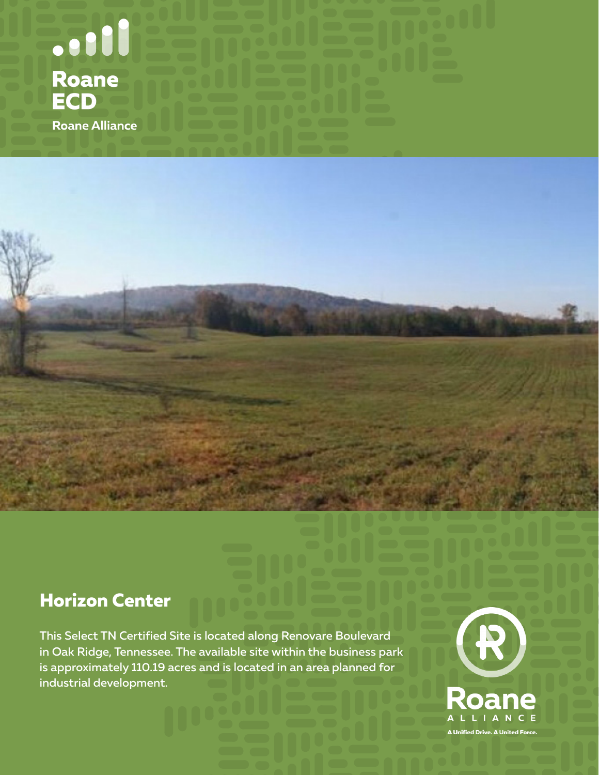

## **Horizon Center**

This Select TN Certified Site is located along Renovare Boulevard in Oak Ridge, Tennessee. The available site within the business park is approximately 110.19 acres and is located in an area planned for industrial development.